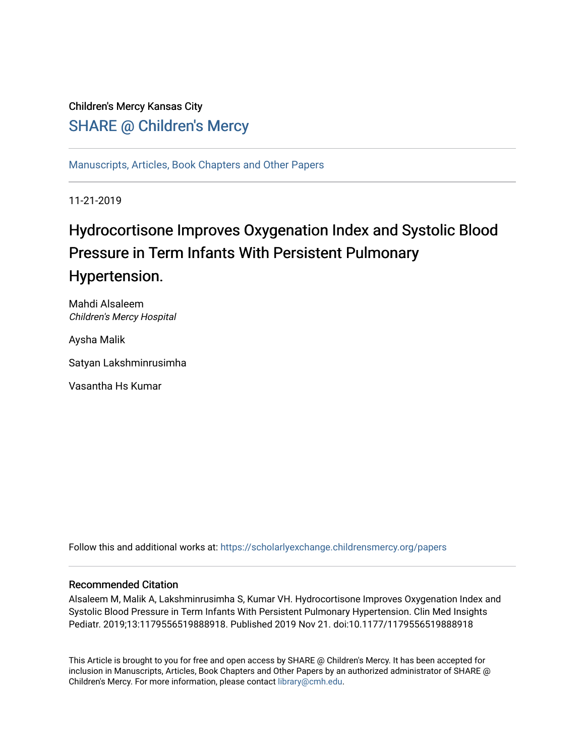## Children's Mercy Kansas City SHARE @ Children's Mercy

[Manuscripts, Articles, Book Chapters and Other Papers](https://scholarlyexchange.childrensmercy.org/papers)

11-21-2019

# Hydrocortisone Improves Oxygenation Index and Systolic Blood Pressure in Term Infants With Persistent Pulmonary Hypertension.

Mahdi Alsaleem Children's Mercy Hospital

Aysha Malik

Satyan Lakshminrusimha

Vasantha Hs Kumar

Follow this and additional works at: [https://scholarlyexchange.childrensmercy.org/papers](https://scholarlyexchange.childrensmercy.org/papers?utm_source=scholarlyexchange.childrensmercy.org%2Fpapers%2F2499&utm_medium=PDF&utm_campaign=PDFCoverPages) 

### Recommended Citation

Alsaleem M, Malik A, Lakshminrusimha S, Kumar VH. Hydrocortisone Improves Oxygenation Index and Systolic Blood Pressure in Term Infants With Persistent Pulmonary Hypertension. Clin Med Insights Pediatr. 2019;13:1179556519888918. Published 2019 Nov 21. doi:10.1177/1179556519888918

This Article is brought to you for free and open access by SHARE @ Children's Mercy. It has been accepted for inclusion in Manuscripts, Articles, Book Chapters and Other Papers by an authorized administrator of SHARE @ Children's Mercy. For more information, please contact [library@cmh.edu](mailto:library@cmh.edu).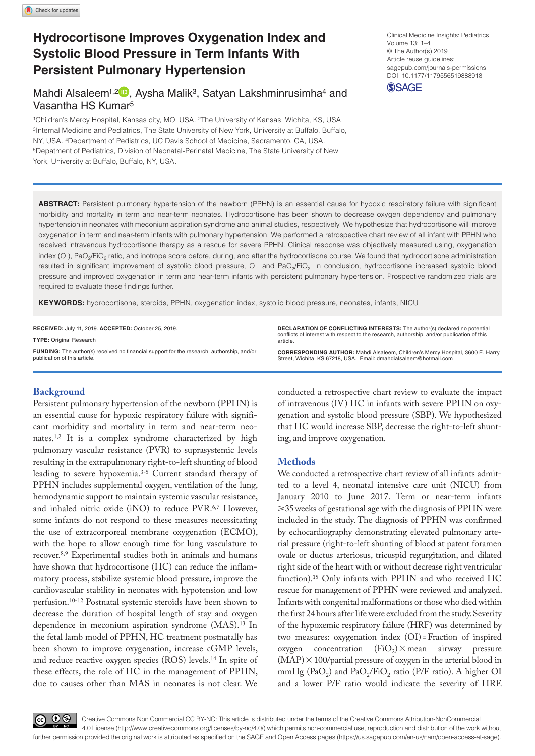## **Hydrocortisone Improves Oxygenation Index and Systolic Blood Pressure in Term Infants With Persistent Pulmonary Hypertension**

Mahdi Alsaleem<sup>1,2 D</sup>, Aysha Malik<sup>3</sup>, Satyan Lakshminrusimha<sup>4</sup> and Vasantha HS Kumar5

1Children's Mercy Hospital, Kansas city, MO, USA. 2The University of Kansas, Wichita, KS, USA. 3Internal Medicine and Pediatrics, The State University of New York, University at Buffalo, Buffalo, NY, USA. 4Department of Pediatrics, UC Davis School of Medicine, Sacramento, CA, USA. 5Depatment of Pediatrics, Division of Neonatal-Perinatal Medicine, The State University of New York, University at Buffalo, Buffalo, NY, USA.

DOI: 10.1177/1179556519888918 Clinical Medicine Insights: Pediatrics Volume 13: 1–4 © The Author(s) 2019 Article reuse guidelines: [sagepub.com/journals-permissions](https://uk.sagepub.com/en-gb/journals-permissions)

**SSAGE** 

**ABSTRACT:** Persistent pulmonary hypertension of the newborn (PPHN) is an essential cause for hypoxic respiratory failure with significant morbidity and mortality in term and near-term neonates. Hydrocortisone has been shown to decrease oxygen dependency and pulmonary hypertension in neonates with meconium aspiration syndrome and animal studies, respectively. We hypothesize that hydrocortisone will improve oxygenation in term and near-term infants with pulmonary hypertension. We performed a retrospective chart review of all infant with PPHN who received intravenous hydrocortisone therapy as a rescue for severe PPHN. Clinical response was objectively measured using, oxygenation index (OI), PaO<sub>2</sub>/FiO<sub>2</sub> ratio, and inotrope score before, during, and after the hydrocortisone course. We found that hydrocortisone administration resulted in significant improvement of systolic blood pressure, OI, and PaO<sub>2</sub>/FiO<sub>2</sub> In conclusion, hydrocortisone increased systolic blood pressure and improved oxygenation in term and near-term infants with persistent pulmonary hypertension. Prospective randomized trials are required to evaluate these findings further.

**Keywords:** hydrocortisone, steroids, PPHN, oxygenation index, systolic blood pressure, neonates, infants, NICU

**RECEIVED:** July 11, 2019. **ACCEPTED:** October 25, 2019. **Type:** Original Research

**Funding:** The author(s) received no financial support for the research, authorship, and/or publication of this article.

### **Background**

Persistent pulmonary hypertension of the newborn (PPHN) is an essential cause for hypoxic respiratory failure with significant morbidity and mortality in term and near-term neonates.1,2 It is a complex syndrome characterized by high pulmonary vascular resistance (PVR) to suprasystemic levels resulting in the extrapulmonary right-to-left shunting of blood leading to severe hypoxemia.3-5 Current standard therapy of PPHN includes supplemental oxygen, ventilation of the lung, hemodynamic support to maintain systemic vascular resistance, and inhaled nitric oxide (iNO) to reduce PVR.6,7 However, some infants do not respond to these measures necessitating the use of extracorporeal membrane oxygenation (ECMO), with the hope to allow enough time for lung vasculature to recover.8,9 Experimental studies both in animals and humans have shown that hydrocortisone (HC) can reduce the inflammatory process, stabilize systemic blood pressure, improve the cardiovascular stability in neonates with hypotension and low perfusion.10-12 Postnatal systemic steroids have been shown to decrease the duration of hospital length of stay and oxygen dependence in meconium aspiration syndrome (MAS).13 In the fetal lamb model of PPHN, HC treatment postnatally has been shown to improve oxygenation, increase cGMP levels, and reduce reactive oxygen species (ROS) levels.14 In spite of these effects, the role of HC in the management of PPHN, due to causes other than MAS in neonates is not clear. We

conflicts of interest with respect to the research, authorship, and/or publication of this article. **CORRESPONDING AUTHOR:** Mahdi Alsaleem, Children's Mercy Hospital, 3600 E. Harry Street, Wichita, KS 67218, USA. Email: [dmahdialsaleem@hotmail.com](mailto:dmahdialsaleem@hotmail.com)

**DECLARATION OF CONFLICTING INTERESTS:** The author(s) declared no potential

conducted a retrospective chart review to evaluate the impact of intravenous (IV) HC in infants with severe PPHN on oxygenation and systolic blood pressure (SBP). We hypothesized that HC would increase SBP, decrease the right-to-left shunting, and improve oxygenation.

#### **Methods**

We conducted a retrospective chart review of all infants admitted to a level 4, neonatal intensive care unit (NICU) from January 2010 to June 2017. Term or near-term infants  $\geq$ 35 weeks of gestational age with the diagnosis of PPHN were included in the study. The diagnosis of PPHN was confirmed by echocardiography demonstrating elevated pulmonary arterial pressure (right-to-left shunting of blood at patent foramen ovale or ductus arteriosus, tricuspid regurgitation, and dilated right side of the heart with or without decrease right ventricular function).15 Only infants with PPHN and who received HC rescue for management of PPHN were reviewed and analyzed. Infants with congenital malformations or those who died within the first 24hours after life were excluded from the study. Severity of the hypoxemic respiratory failure (HRF) was determined by two measures: oxygenation index (OI)=Fraction of inspired oxygen concentration  $(FiO<sub>2</sub>) \times$  mean airway pressure  $(MAP) \times 100$ /partial pressure of oxygen in the arterial blood in mmHg (PaO<sub>2</sub>) and PaO<sub>2</sub>/FiO<sub>2</sub> ratio (P/F ratio). A higher OI and a lower P/F ratio would indicate the severity of HRF.

60 Q

Creative Commons Non Commercial CC BY-NC: This article is distributed under the terms of the Creative Commons Attribution-NonCommercial 4.0 License (http://www.creativecommons.org/licenses/by-nc/4.0/) which permits non-commercial use, reproduction and distribution of the work without further permission provided the original work is attributed as specified on the SAGE and Open Access pages (https://us.sagepub.com/en-us/nam/open-access-at-sage).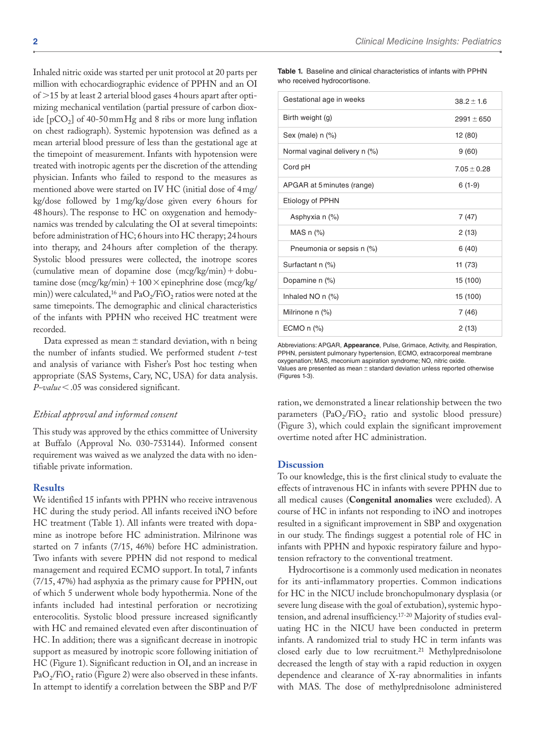Inhaled nitric oxide was started per unit protocol at 20 parts per million with echocardiographic evidence of PPHN and an OI of >15 by at least 2 arterial blood gases 4hours apart after optimizing mechanical ventilation (partial pressure of carbon dioxide  $[pCO<sub>2</sub>]$  of 40-50 mm Hg and 8 ribs or more lung inflation on chest radiograph). Systemic hypotension was defined as a mean arterial blood pressure of less than the gestational age at the timepoint of measurement. Infants with hypotension were treated with inotropic agents per the discretion of the attending physician. Infants who failed to respond to the measures as mentioned above were started on IV HC (initial dose of 4mg/ kg/dose followed by 1mg/kg/dose given every 6hours for 48hours). The response to HC on oxygenation and hemodynamics was trended by calculating the OI at several timepoints: before administration of HC; 6hours into HC therapy; 24hours into therapy, and 24hours after completion of the therapy. Systolic blood pressures were collected, the inotrope scores (cumulative mean of dopamine dose  $(mcg/kg/min) + dobj$ tamine dose  $(mcg/kg/min) + 100 \times$ epinephrine dose  $(mcg/kg/m)$ min)) were calculated,<sup>16</sup> and  $PaO<sub>2</sub>/FiO<sub>2</sub>$  ratios were noted at the same timepoints. The demographic and clinical characteristics of the infants with PPHN who received HC treatment were recorded.

Data expressed as mean  $\pm$  standard deviation, with n being the number of infants studied. We performed student *t*-test and analysis of variance with Fisher's Post hoc testing when appropriate (SAS Systems, Cary, NC, USA) for data analysis. *P-value*<.05 was considered significant.

#### *Ethical approval and informed consent*

This study was approved by the ethics committee of University at Buffalo (Approval No. 030-753144). Informed consent requirement was waived as we analyzed the data with no identifiable private information.

#### **Results**

We identified 15 infants with PPHN who receive intravenous HC during the study period. All infants received iNO before HC treatment (Table 1). All infants were treated with dopamine as inotrope before HC administration. Milrinone was started on 7 infants (7/15, 46%) before HC administration. Two infants with severe PPHN did not respond to medical management and required ECMO support. In total, 7 infants (7/15, 47%) had asphyxia as the primary cause for PPHN, out of which 5 underwent whole body hypothermia. None of the infants included had intestinal perforation or necrotizing enterocolitis. Systolic blood pressure increased significantly with HC and remained elevated even after discontinuation of HC. In addition; there was a significant decrease in inotropic support as measured by inotropic score following initiation of HC (Figure 1). Significant reduction in OI, and an increase in  $PaO<sub>2</sub>/FiO<sub>2</sub>$  ratio (Figure 2) were also observed in these infants. In attempt to identify a correlation between the SBP and P/F

**Table 1.** Baseline and clinical characteristics of infants with PPHN who received hydrocortisone.

| Gestational age in weeks      | $38.2 \pm 1.6$  |
|-------------------------------|-----------------|
| Birth weight (g)              | $2991 \pm 650$  |
| Sex (male) $n$ (%)            | 12 (80)         |
| Normal vaginal delivery n (%) | 9(60)           |
| Cord pH                       | $7.05 \pm 0.28$ |
| APGAR at 5 minutes (range)    | $6(1-9)$        |
| Etiology of PPHN              |                 |
| Asphyxia n (%)                | 7 (47)          |
| MAS $n$ $%$                   | 2(13)           |
| Pneumonia or sepsis n (%)     | 6(40)           |
| Surfactant n (%)              | 11 (73)         |
| Dopamine n (%)                | 15 (100)        |
| Inhaled NO $n$ $(\%)$         | 15 (100)        |
| Milrinone n (%)               | 7(46)           |
| ECMO n (%)                    | 2(13)           |

Abbreviations: APGAR, **Appearance**, Pulse, Grimace, Activity, and Respiration, PPHN, persistent pulmonary hypertension, ECMO, extracorporeal membrane oxygenation; MAS, meconium aspiration syndrome; NO, nitric oxide. Values are presented as mean  $\pm$  standard deviation unless reported otherwise (Figures 1-3).

ration, we demonstrated a linear relationship between the two parameters  $(PaO_2/FiO_2)$  ratio and systolic blood pressure) (Figure 3), which could explain the significant improvement overtime noted after HC administration.

#### **Discussion**

To our knowledge, this is the first clinical study to evaluate the effects of intravenous HC in infants with severe PPHN due to all medical causes (**Congenital anomalies** were excluded). A course of HC in infants not responding to iNO and inotropes resulted in a significant improvement in SBP and oxygenation in our study. The findings suggest a potential role of HC in infants with PPHN and hypoxic respiratory failure and hypotension refractory to the conventional treatment.

Hydrocortisone is a commonly used medication in neonates for its anti-inflammatory properties. Common indications for HC in the NICU include bronchopulmonary dysplasia (or severe lung disease with the goal of extubation), systemic hypotension, and adrenal insufficiency.17-20 Majority of studies evaluating HC in the NICU have been conducted in preterm infants. A randomized trial to study HC in term infants was closed early due to low recruitment.<sup>21</sup> Methylprednisolone decreased the length of stay with a rapid reduction in oxygen dependence and clearance of X-ray abnormalities in infants with MAS. The dose of methylprednisolone administered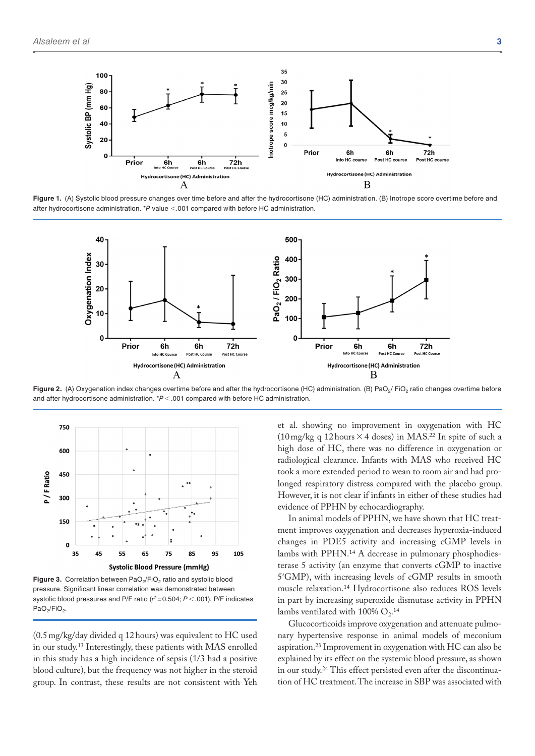

**Figure 1.** (A) Systolic blood pressure changes over time before and after the hydrocortisone (HC) administration. (B) Inotrope score overtime before and after hydrocortisone administration. \**P* value <.001 compared with before HC administration.



Figure 2. (A) Oxygenation index changes overtime before and after the hydrocortisone (HC) administration. (B) PaO<sub>2</sub>/ FiO<sub>2</sub> ratio changes overtime before and after hydrocortisone administration. \**P*<.001 compared with before HC administration.



Figure 3. Correlation between PaO<sub>2</sub>/FiO<sub>2</sub> ratio and systolic blood pressure. Significant linear correlation was demonstrated between systolic blood pressures and P/F ratio ( $r^2$ =0.504;  $P$  < .001). P/F indicates PaO<sub>2</sub>/FiO<sub>2</sub>

(0.5mg/kg/day divided q 12hours) was equivalent to HC used in our study.13 Interestingly, these patients with MAS enrolled in this study has a high incidence of sepsis (1/3 had a positive blood culture), but the frequency was not higher in the steroid group. In contrast, these results are not consistent with Yeh

et al. showing no improvement in oxygenation with HC (10 mg/kg q 12 hours  $\times$  4 doses) in MAS.<sup>22</sup> In spite of such a high dose of HC, there was no difference in oxygenation or radiological clearance. Infants with MAS who received HC took a more extended period to wean to room air and had prolonged respiratory distress compared with the placebo group. However, it is not clear if infants in either of these studies had evidence of PPHN by echocardiography.

In animal models of PPHN, we have shown that HC treatment improves oxygenation and decreases hyperoxia-induced changes in PDE5 activity and increasing cGMP levels in lambs with PPHN.14 A decrease in pulmonary phosphodiesterase 5 activity (an enzyme that converts cGMP to inactive 5′GMP), with increasing levels of cGMP results in smooth muscle relaxation.14 Hydrocortisone also reduces ROS levels in part by increasing superoxide dismutase activity in PPHN lambs ventilated with 100%  $O_2$ .<sup>14</sup>

Glucocorticoids improve oxygenation and attenuate pulmonary hypertensive response in animal models of meconium aspiration.<sup>23</sup> Improvement in oxygenation with  $HC$  can also be explained by its effect on the systemic blood pressure, as shown in our study.24 This effect persisted even after the discontinuation of HC treatment. The increase in SBP was associated with